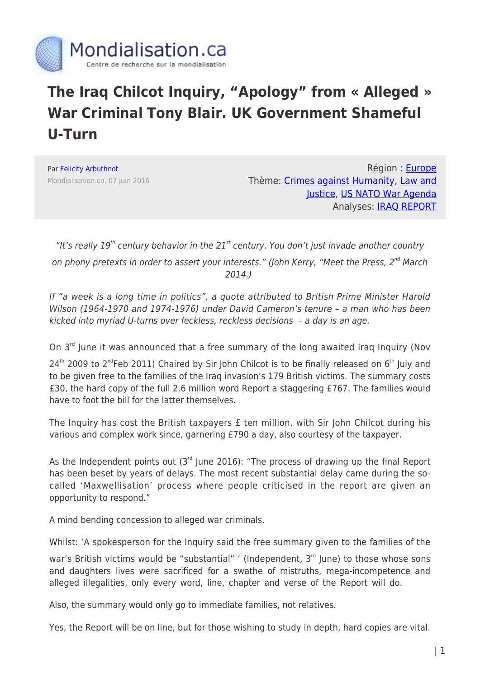

## **The Iraq Chilcot Inquiry, "Apology" from « Alleged » War Criminal Tony Blair. UK Government Shameful U-Turn**

Par [Felicity Arbuthnot](https://www.mondialisation.ca/author/felicity-arbuthnot) Mondialisation.ca, 07 juin 2016

Région : [Europe](https://www.mondialisation.ca/region/europe) Thème: [Crimes against Humanity](https://www.mondialisation.ca/theme/crimes-against-humanity), [Law and](https://www.mondialisation.ca/theme/law-and-justice) [Justice](https://www.mondialisation.ca/theme/law-and-justice), [US NATO War Agenda](https://www.mondialisation.ca/theme/us-nato-war-agenda) Analyses: [IRAQ REPORT](https://www.mondialisation.ca/indepthreport/iraq-report)

"It's really  $19<sup>th</sup>$  century behavior in the 21 $<sup>st</sup>$  century. You don't just invade another country</sup>

on phony pretexts in order to assert your interests." (John Kerry, "Meet the Press,  $2^{nd}$  March 2014.)

If "a week is a long time in politics", a quote attributed to British Prime Minister Harold Wilson (1964-1970 and 1974-1976) under David Cameron's tenure – a man who has been kicked into myriad U-turns over feckless, reckless decisions – a day is an age.

On 3<sup>rd</sup> June it was announced that a free summary of the long awaited Iraq Inquiry (Nov

 $24<sup>th</sup>$  2009 to 2<sup>nd</sup>Feb 2011) Chaired by Sir John Chilcot is to be finally released on 6<sup>th</sup> July and to be given free to the families of the Iraq invasion's 179 British victims. The summary costs £30, the hard copy of the full 2.6 million word Report a staggering £767. The families would have to foot the bill for the latter themselves.

The Inquiry has cost the British taxpayers £ ten million, with Sir John Chilcot during his various and complex work since, garnering £790 a day, also courtesy of the taxpayer.

As the Independent points out  $(3<sup>rd</sup>)$ une 2016): "The process of drawing up the final Report has been beset by years of delays. The most recent substantial delay came during the socalled 'Maxwellisation' process where people criticised in the report are given an opportunity to respond."

A mind bending concession to alleged war criminals.

Whilst: 'A spokesperson for the Inquiry said the free summary given to the families of the

war's British victims would be "substantial" ' (Independent, 3<sup>rd</sup> June) to those whose sons and daughters lives were sacrificed for a swathe of mistruths, mega-incompetence and alleged illegalities, only every word, line, chapter and verse of the Report will do.

Also, the summary would only go to immediate families, not relatives.

Yes, the Report will be on line, but for those wishing to study in depth, hard copies are vital.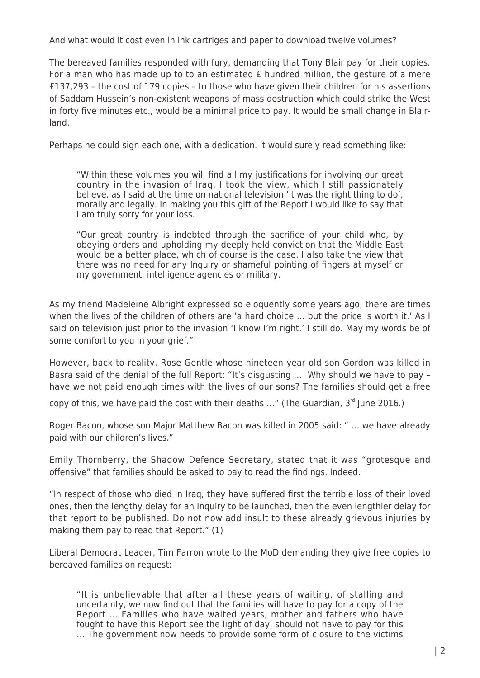And what would it cost even in ink cartriges and paper to download twelve volumes?

The bereaved families responded with fury, demanding that Tony Blair pay for their copies. For a man who has made up to to an estimated £ hundred million, the gesture of a mere £137,293 – the cost of 179 copies – to those who have given their children for his assertions of Saddam Hussein's non-existent weapons of mass destruction which could strike the West in forty five minutes etc., would be a minimal price to pay. It would be small change in Blairland.

Perhaps he could sign each one, with a dedication. It would surely read something like:

"Within these volumes you will find all my justifications for involving our great country in the invasion of Iraq. I took the view, which I still passionately believe, as I said at the time on national television 'it was the right thing to do', morally and legally. In making you this gift of the Report I would like to say that I am truly sorry for your loss.

"Our great country is indebted through the sacrifice of your child who, by obeying orders and upholding my deeply held conviction that the Middle East would be a better place, which of course is the case. I also take the view that there was no need for any Inquiry or shameful pointing of fingers at myself or my government, intelligence agencies or military.

As my friend Madeleine Albright expressed so eloquently some years ago, there are times when the lives of the children of others are 'a hard choice … but the price is worth it.' As I said on television just prior to the invasion 'I know I'm right.' I still do. May my words be of some comfort to you in your grief."

However, back to reality. Rose Gentle whose nineteen year old son Gordon was killed in Basra said of the denial of the full Report: "It's disgusting ... Why should we have to pay have we not paid enough times with the lives of our sons? The families should get a free

copy of this, we have paid the cost with their deaths  $\ldots$ " (The Guardian,  $3^{rd}$  June 2016.)

Roger Bacon, whose son Major Matthew Bacon was killed in 2005 said: " … we have already paid with our children's lives."

Emily Thornberry, the Shadow Defence Secretary, stated that it was "grotesque and offensive" that families should be asked to pay to read the findings. Indeed.

"In respect of those who died in Iraq, they have suffered first the terrible loss of their loved ones, then the lengthy delay for an Inquiry to be launched, then the even lengthier delay for that report to be published. Do not now add insult to these already grievous injuries by making them pay to read that Report." (1)

Liberal Democrat Leader, Tim Farron wrote to the MoD demanding they give free copies to bereaved families on request:

"It is unbelievable that after all these years of waiting, of stalling and uncertainty, we now find out that the families will have to pay for a copy of the Report … Families who have waited years, mother and fathers who have fought to have this Report see the light of day, should not have to pay for this … The government now needs to provide some form of closure to the victims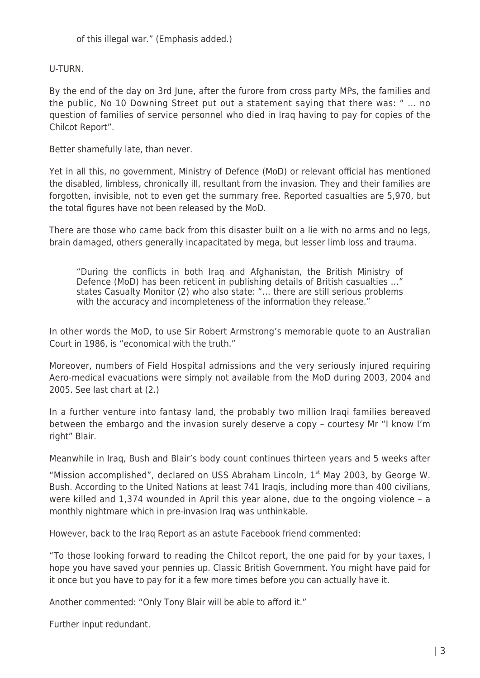U-TURN.

By the end of the day on 3rd June, after the furore from cross party MPs, the families and the public, No 10 Downing Street put out a statement saying that there was: " … no question of families of service personnel who died in Iraq having to pay for copies of the Chilcot Report".

Better shamefully late, than never.

Yet in all this, no government, Ministry of Defence (MoD) or relevant official has mentioned the disabled, limbless, chronically ill, resultant from the invasion. They and their families are forgotten, invisible, not to even get the summary free. Reported casualties are 5,970, but the total figures have not been released by the MoD.

There are those who came back from this disaster built on a lie with no arms and no legs, brain damaged, others generally incapacitated by mega, but lesser limb loss and trauma.

"During the conflicts in both Iraq and Afghanistan, the British Ministry of Defence (MoD) has been reticent in publishing details of British casualties …" states Casualty Monitor (2) who also state: "… there are still serious problems with the accuracy and incompleteness of the information they release."

In other words the MoD, to use Sir Robert Armstrong's memorable quote to an Australian Court in 1986, is "economical with the truth."

Moreover, numbers of Field Hospital admissions and the very seriously injured requiring Aero-medical evacuations were simply not available from the MoD during 2003, 2004 and 2005. See last chart at (2.)

In a further venture into fantasy land, the probably two million Iraqi families bereaved between the embargo and the invasion surely deserve a copy – courtesy Mr "I know I'm right" Blair.

Meanwhile in Iraq, Bush and Blair's body count continues thirteen years and 5 weeks after

"Mission accomplished", declared on USS Abraham Lincoln,  $1<sup>st</sup>$  May 2003, by George W. Bush. According to the United Nations at least 741 Iraqis, including more than 400 civilians, were killed and 1,374 wounded in April this year alone, due to the ongoing violence – a monthly nightmare which in pre-invasion Iraq was unthinkable.

However, back to the Iraq Report as an astute Facebook friend commented:

"To those looking forward to reading the Chilcot report, the one paid for by your taxes, I hope you have saved your pennies up. Classic British Government. You might have paid for it once but you have to pay for it a few more times before you can actually have it.

Another commented: "Only Tony Blair will be able to afford it."

Further input redundant.